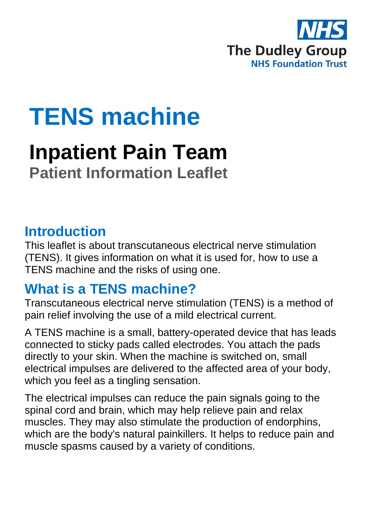

# **TENS machine**

## **Inpatient Pain Team Patient Information Leaflet**

### **Introduction**

This leaflet is about transcutaneous electrical nerve stimulation (TENS). It gives information on what it is used for, how to use a TENS machine and the risks of using one.

## **What is a TENS machine?**

Transcutaneous electrical nerve stimulation (TENS) is a method of pain relief involving the use of a mild electrical current.

A TENS machine is a small, battery-operated device that has leads connected to sticky pads called electrodes. You attach the pads directly to your skin. When the machine is switched on, small electrical impulses are delivered to the affected area of your body, which you feel as a tingling sensation.

The electrical impulses can reduce the pain signals going to the spinal cord and brain, which may help relieve pain and relax muscles. They may also stimulate the production of endorphins, which are the body's natural painkillers. It helps to reduce pain and muscle spasms caused by a variety of conditions.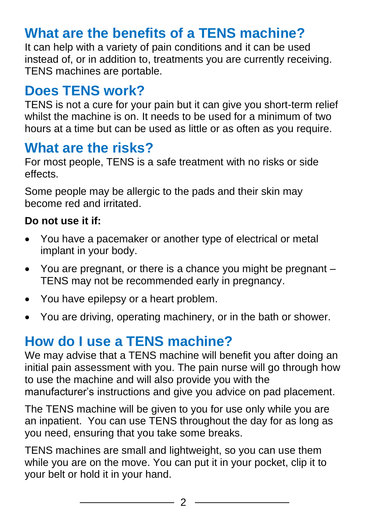## **What are the benefits of a TENS machine?**

It can help with a variety of pain conditions and it can be used instead of, or in addition to, treatments you are currently receiving. TENS machines are portable.

## **Does TENS work?**

TENS is not a cure for your pain but it can give you short-term relief whilst the machine is on. It needs to be used for a minimum of two hours at a time but can be used as little or as often as you require.

## **What are the risks?**

For most people, TENS is a safe treatment with no risks or side effects.

Some people may be allergic to the pads and their skin may become red and irritated.

#### **Do not use it if:**

- You have a pacemaker or another type of electrical or metal implant in your body.
- You are pregnant, or there is a chance you might be pregnant TENS may not be recommended early in pregnancy.
- You have epilepsy or a heart problem.
- You are driving, operating machinery, or in the bath or shower.

## **How do I use a TENS machine?**

We may advise that a TENS machine will benefit you after doing an initial pain assessment with you. The pain nurse will go through how to use the machine and will also provide you with the manufacturer's instructions and give you advice on pad placement.

The TENS machine will be given to you for use only while you are an inpatient. You can use TENS throughout the day for as long as you need, ensuring that you take some breaks.

TENS machines are small and lightweight, so you can use them while you are on the move. You can put it in your pocket, clip it to your belt or hold it in your hand.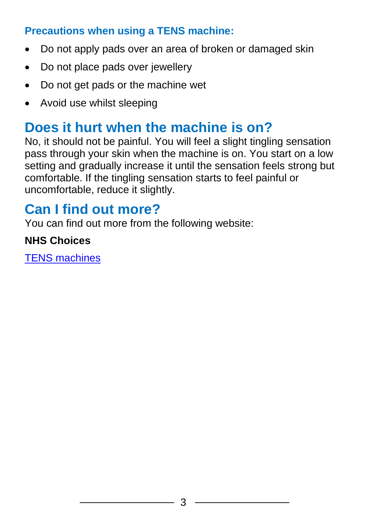#### **Precautions when using a TENS machine:**

- Do not apply pads over an area of broken or damaged skin
- Do not place pads over jewellery
- Do not get pads or the machine wet
- Avoid use whilst sleeping

## **Does it hurt when the machine is on?**

No, it should not be painful. You will feel a slight tingling sensation pass through your skin when the machine is on. You start on a low setting and gradually increase it until the sensation feels strong but comfortable. If the tingling sensation starts to feel painful or uncomfortable, reduce it slightly.

## **Can I find out more?**

You can find out more from the following website:

#### **NHS Choices**

[TENS machines](http://www.nhs.uk/conditions/tens/Pages/Introduction.aspx)